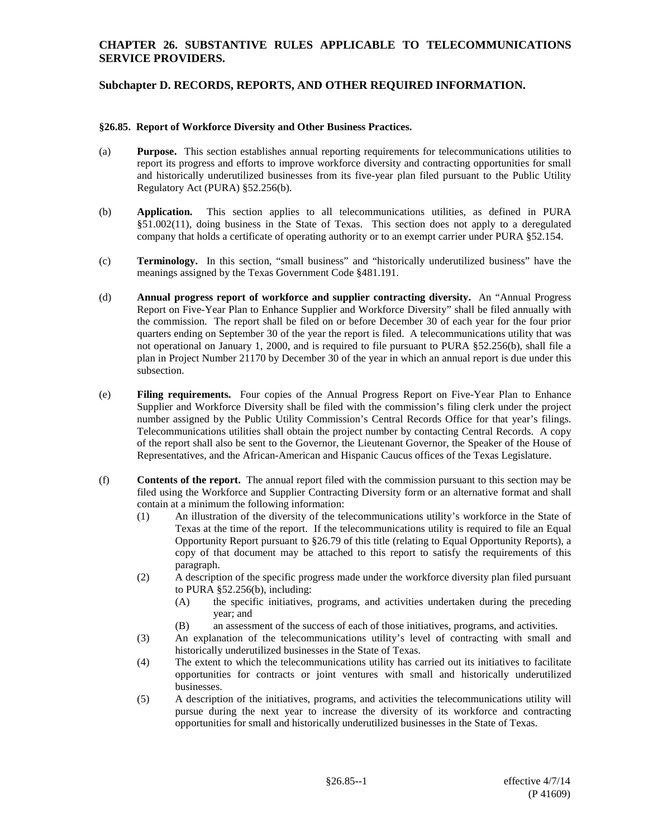### **CHAPTER 26. SUBSTANTIVE RULES APPLICABLE TO TELECOMMUNICATIONS SERVICE PROVIDERS.**

## **Subchapter D. RECORDS, REPORTS, AND OTHER REQUIRED INFORMATION.**

#### **§26.85. Report of Workforce Diversity and Other Business Practices.**

- (a) **Purpose.** This section establishes annual reporting requirements for telecommunications utilities to report its progress and efforts to improve workforce diversity and contracting opportunities for small and historically underutilized businesses from its five-year plan filed pursuant to the Public Utility Regulatory Act (PURA) §52.256(b).
- (b) **Application.** This section applies to all telecommunications utilities, as defined in PURA §51.002(11), doing business in the State of Texas. This section does not apply to a deregulated company that holds a certificate of operating authority or to an exempt carrier under PURA §52.154.
- (c) **Terminology.** In this section, "small business" and "historically underutilized business" have the meanings assigned by the Texas Government Code §481.191.
- (d) **Annual progress report of workforce and supplier contracting diversity.** An "Annual Progress Report on Five-Year Plan to Enhance Supplier and Workforce Diversity" shall be filed annually with the commission. The report shall be filed on or before December 30 of each year for the four prior quarters ending on September 30 of the year the report is filed. A telecommunications utility that was not operational on January 1, 2000, and is required to file pursuant to PURA §52.256(b), shall file a plan in Project Number 21170 by December 30 of the year in which an annual report is due under this subsection.
- (e) **Filing requirements.** Four copies of the Annual Progress Report on Five-Year Plan to Enhance Supplier and Workforce Diversity shall be filed with the commission's filing clerk under the project number assigned by the Public Utility Commission's Central Records Office for that year's filings. Telecommunications utilities shall obtain the project number by contacting Central Records. A copy of the report shall also be sent to the Governor, the Lieutenant Governor, the Speaker of the House of Representatives, and the African-American and Hispanic Caucus offices of the Texas Legislature.
- (f) **Contents of the report.** The annual report filed with the commission pursuant to this section may be filed using the Workforce and Supplier Contracting Diversity form or an alternative format and shall contain at a minimum the following information:
	- (1) An illustration of the diversity of the telecommunications utility's workforce in the State of Texas at the time of the report. If the telecommunications utility is required to file an Equal Opportunity Report pursuant to §26.79 of this title (relating to Equal Opportunity Reports), a copy of that document may be attached to this report to satisfy the requirements of this paragraph.
	- (2) A description of the specific progress made under the workforce diversity plan filed pursuant to PURA §52.256(b), including:
		- (A) the specific initiatives, programs, and activities undertaken during the preceding year; and
		- (B) an assessment of the success of each of those initiatives, programs, and activities.
	- (3) An explanation of the telecommunications utility's level of contracting with small and historically underutilized businesses in the State of Texas.
	- (4) The extent to which the telecommunications utility has carried out its initiatives to facilitate opportunities for contracts or joint ventures with small and historically underutilized businesses.
	- (5) A description of the initiatives, programs, and activities the telecommunications utility will pursue during the next year to increase the diversity of its workforce and contracting opportunities for small and historically underutilized businesses in the State of Texas.